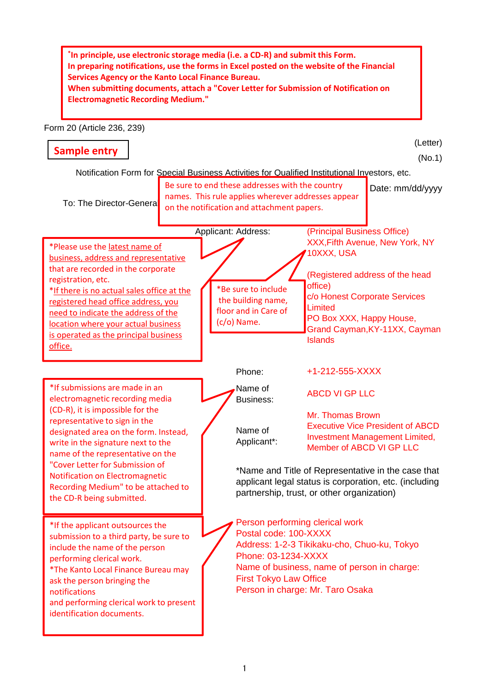**\* In principle, use electronic storage media (i.e. a CD-R) and submit this Form. In preparing notifications, use the forms in Excel posted on the website of the Financial Services Agency or the Kanto Local Finance Bureau. When submitting documents, attach a "Cover Letter for Submission of Notification on Electromagnetic Recording Medium."**

Form 20 (Article 236, 239)

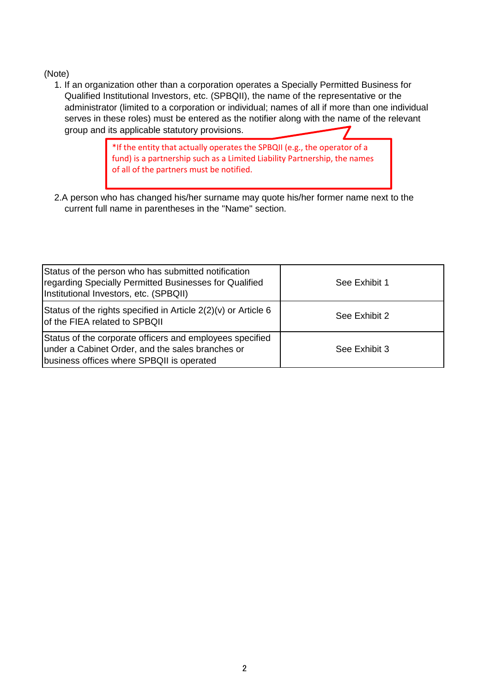1. If an organization other than a corporation operates a Specially Permitted Business for Qualified Institutional Investors, etc. (SPBQII), the name of the representative or the administrator (limited to a corporation or individual; names of all if more than one individual serves in these roles) must be entered as the notifier along with the name of the relevant group and its applicable statutory provisions.

> \*If the entity that actually operates the SPBQII (e.g., the operator of a fund) is a partnership such as a Limited Liability Partnership, the names of all of the partners must be notified.

 2.A person who has changed his/her surname may quote his/her former name next to the current full name in parentheses in the "Name" section.

| Status of the person who has submitted notification<br>regarding Specially Permitted Businesses for Qualified<br>Institutional Investors, etc. (SPBQII)   | See Exhibit 1 |
|-----------------------------------------------------------------------------------------------------------------------------------------------------------|---------------|
| Status of the rights specified in Article $2(2)(v)$ or Article 6<br>of the FIEA related to SPBQII                                                         | See Exhibit 2 |
| Status of the corporate officers and employees specified<br>under a Cabinet Order, and the sales branches or<br>business offices where SPBQII is operated | See Exhibit 3 |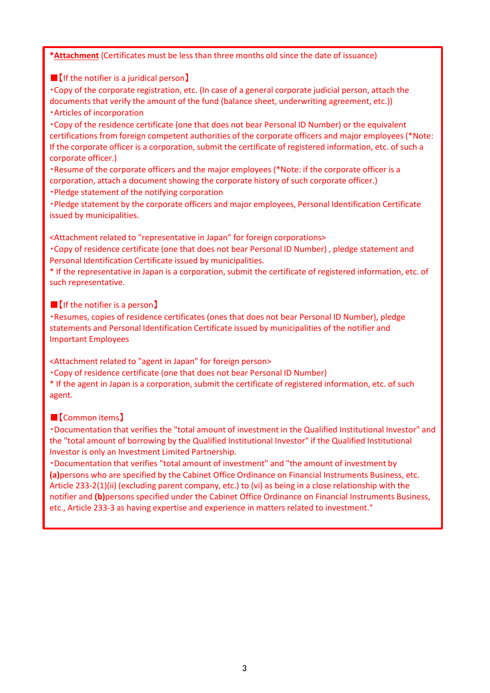**\*Attachment** (Certificates must be less than three months old since the date of issuance)

■【If the notifier is a juridical person】

・Copy of the corporate registration, etc. (In case of a general corporate judicial person, attach the documents that verify the amount of the fund (balance sheet, underwriting agreement, etc.)) ・Articles of incorporation

・Copy of the residence certificate (one that does not bear Personal ID Number) or the equivalent certifications from foreign competent authorities of the corporate officers and major employees (\*Note: If the corporate officer is a corporation, submit the certificate of registered information, etc. of such a corporate officer.)

・Resume of the corporate officers and the major employees (\*Note: if the corporate officer is a corporation, attach a document showing the corporate history of such corporate officer.)

・Pledge statement of the notifying corporation

・Pledge statement by the corporate officers and major employees, Personal Identification Certificate issued by municipalities.

<Attachment related to "representative in Japan" for foreign corporations>

・Copy of residence certificate (one that does not bear Personal ID Number) , pledge statement and Personal Identification Certificate issued by municipalities.

\* If the representative in Japan is a corporation, submit the certificate of registered information, etc. of such representative.

■【If the notifier is a person】

・Resumes, copies of residence certificates (ones that does not bear Personal ID Number), pledge statements and Personal Identification Certificate issued by municipalities of the notifier and Important Employees

<Attachment related to "agent in Japan" for foreign person>

・Copy of residence certificate (one that does not bear Personal ID Number)

\* If the agent in Japan is a corporation, submit the certificate of registered information, etc. of such agent.

## ■【Common items】

・Documentation that verifies the "total amount of investment in the Qualified Institutional Investor" and the "total amount of borrowing by the Qualified Institutional Investor" if the Qualified Institutional Investor is only an Investment Limited Partnership.

・Documentation that verifies "total amount of investment" and "the amount of investment by **(a)**persons who are specified by the Cabinet Office Ordinance on Financial Instruments Business, etc. Article 233-2(1)(ii) (excluding parent company, etc.) to (vi) as being in a close relationship with the notifier and **(b)**persons specified under the Cabinet Office Ordinance on Financial Instruments Business, etc., Article 233-3 as having expertise and experience in matters related to investment."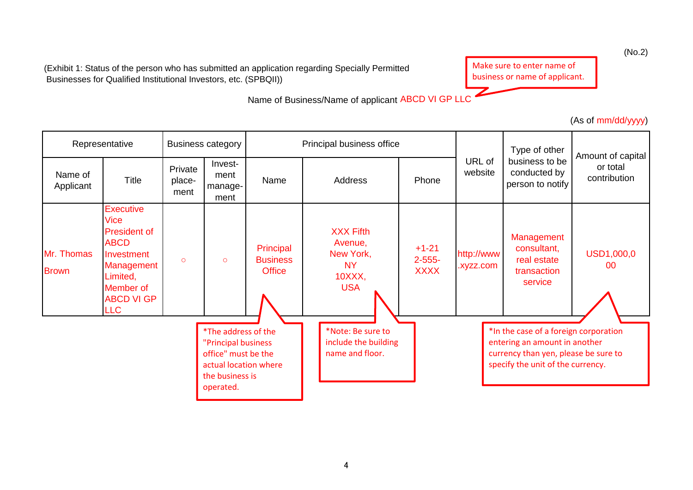(Exhibit 1: Status of the person who has submitted an application regarding Specially Permitted Businesses for Qualified Institutional Investors, etc. (SPBQII))

Make sure to enter name of business or name of applicant.

Z

Name of Business/Name of applicant ABCD VI GP LLC

(As of mm/dd/yyyy)

|                            | Representative                                                                                                                                                |                           | <b>Business category</b>                                                                                                   |                                               | Principal business office                                                        |                                       |                         | Type of other                                                                                                                                       | Amount of capital        |
|----------------------------|---------------------------------------------------------------------------------------------------------------------------------------------------------------|---------------------------|----------------------------------------------------------------------------------------------------------------------------|-----------------------------------------------|----------------------------------------------------------------------------------|---------------------------------------|-------------------------|-----------------------------------------------------------------------------------------------------------------------------------------------------|--------------------------|
| Name of<br>Applicant       | <b>Title</b>                                                                                                                                                  | Private<br>place-<br>ment | Invest-<br>ment<br>manage-<br>ment                                                                                         | Name                                          | Address                                                                          | Phone                                 | URL of<br>website       | business to be<br>conducted by<br>person to notify                                                                                                  | or total<br>contribution |
| Mr. Thomas<br><b>Brown</b> | <b>Executive</b><br><b>Vice</b><br><b>President of</b><br><b>ABCD</b><br>Investment<br>Management<br>Limited,<br>Member of<br><b>ABCD VI GP</b><br><b>LLC</b> | $\circ$                   | $\circ$                                                                                                                    | Principal<br><b>Business</b><br><b>Office</b> | <b>XXX Fifth</b><br>Avenue,<br>New York,<br><b>NY</b><br>$10XXX$ ,<br><b>USA</b> | $+1-21$<br>$2 - 555 -$<br><b>XXXX</b> | http://www<br>.xyzz.com | Management<br>consultant,<br>real estate<br>transaction<br>service                                                                                  | USD1,000,0<br>00         |
|                            |                                                                                                                                                               |                           | *The address of the<br>"Principal business<br>office" must be the<br>actual location where<br>the business is<br>operated. |                                               | *Note: Be sure to<br>include the building<br>name and floor.                     |                                       |                         | *In the case of a foreign corporation<br>entering an amount in another<br>currency than yen, please be sure to<br>specify the unit of the currency. |                          |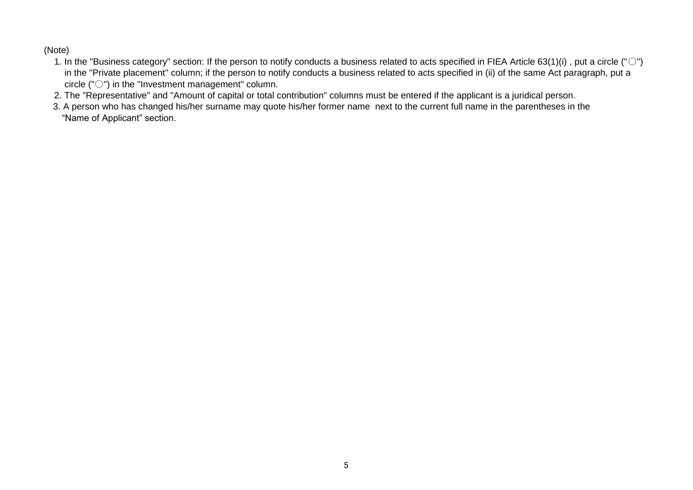- 1. In the "Business category" section: If the person to notify conducts a business related to acts specified in FIEA Article 63(1)(i), put a circle (" $\bigcirc$ ") in the "Private placement" column; if the person to notify conducts a business related to acts specified in (ii) of the same Act paragraph, put a circle ("○") in the "Investment management" column.
- 2. The "Representative" and "Amount of capital or total contribution" columns must be entered if the applicant is a juridical person.
- 3. A person who has changed his/her surname may quote his/her former name next to the current full name in the parentheses in the "Name of Applicant" section.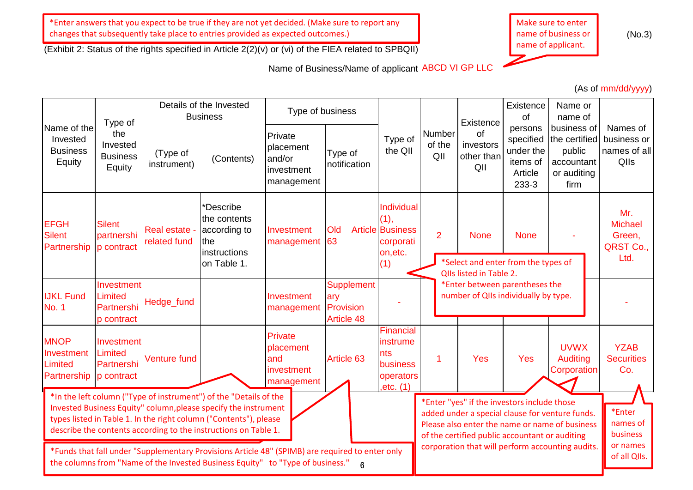\*Enter answers that you expect to be true if they are not yet decided. (Make sure to report any changes that subsequently take place to entries provided as expected outcomes.)

(Exhibit 2: Status of the rights specified in Article 2(2)(v) or (vi) of the FIEA related to SPBQII)

Name of Business/Name of applicant ABCD VI GP LLC



(No.3)

(As of mm/dd/yyyy)

|                                                                                                                                                                                        | Type of                                           |                                      | Details of the Invested<br><b>Business</b>                                                                                                                                                                                                                                   | Type of business                                           |                                                     |                                                                               |                         | Existence                                                                                     | Existence<br>of                                                   | Name or<br>name of                                                                                |                                                      |
|----------------------------------------------------------------------------------------------------------------------------------------------------------------------------------------|---------------------------------------------------|--------------------------------------|------------------------------------------------------------------------------------------------------------------------------------------------------------------------------------------------------------------------------------------------------------------------------|------------------------------------------------------------|-----------------------------------------------------|-------------------------------------------------------------------------------|-------------------------|-----------------------------------------------------------------------------------------------|-------------------------------------------------------------------|---------------------------------------------------------------------------------------------------|------------------------------------------------------|
| Name of the<br>Invested<br><b>Business</b><br>Equity                                                                                                                                   | the<br>Invested<br><b>Business</b><br>Equity      | (Type of<br>instrument)              | (Contents)                                                                                                                                                                                                                                                                   | Private<br>placement<br>and/or<br>investment<br>management | Type of<br>notification                             | Type of<br>the QII                                                            | Number<br>of the<br>QII | of<br>investors<br>other than<br>QII                                                          | persons<br>specified<br>under the<br>items of<br>Article<br>233-3 | business of<br>the certified<br>public<br>accountant<br>or auditing<br>firm                       | Names of<br>business or<br>names of all<br>Qlls      |
| <b>EFGH</b><br><b>Silent</b><br>Partnership                                                                                                                                            | <b>Silent</b><br>partnershi<br>p contract         | <b>Real estate -</b><br>related fund | *Describe<br>the contents<br>according to<br>∣the<br>instructions<br>on Table 1.                                                                                                                                                                                             | Investment<br>management                                   | Old<br>63                                           | Individual<br>(1),<br><b>Article Business</b><br>corporati<br>on, etc.<br>(1) | $\overline{2}$          | <b>None</b><br>*Select and enter from the types of<br>QIIs listed in Table 2.                 | <b>None</b>                                                       |                                                                                                   | Mr.<br><b>Michael</b><br>Green,<br>QRST Co.,<br>Ltd. |
| <b>IJKL Fund</b><br><b>No. 1</b>                                                                                                                                                       | Investment<br>Limited<br>Partnershi<br>p contract | Hedge_fund                           |                                                                                                                                                                                                                                                                              | Investment<br>management                                   | Supplement<br>ary<br>Provision<br><b>Article 48</b> |                                                                               |                         | *Enter between parentheses the<br>number of QIIs individually by type.                        |                                                                   |                                                                                                   |                                                      |
| <b>MNOP</b><br>Investment<br>Limited<br>Partnership                                                                                                                                    | Investment<br>Limited<br>Partnershi<br>p contract | Venture fund                         |                                                                                                                                                                                                                                                                              | Private<br>placement<br>and<br>investment<br>management    | Article 63                                          | Financial<br>instrume<br>nts<br>business<br>operators<br>,etc. (1)            | 1                       | Yes                                                                                           | <b>Yes</b>                                                        | <b>UVWX</b><br>Auditing<br>Corporation                                                            | <b>YZAB</b><br><b>Securities</b><br>Co.              |
|                                                                                                                                                                                        |                                                   |                                      | *In the left column ("Type of instrument") of the "Details of the<br>Invested Business Equity" column, please specify the instrument<br>types listed in Table 1. In the right column ("Contents"), please<br>describe the contents according to the instructions on Table 1. |                                                            |                                                     |                                                                               |                         | *Enter "yes" if the investors include those<br>of the certified public accountant or auditing |                                                                   | added under a special clause for venture funds.<br>Please also enter the name or name of business | *Enter<br>names of<br>business<br>or names           |
| *Funds that fall under "Supplementary Provisions Article 48" (SPIMB) are required to enter only<br>the columns from "Name of the Invested Business Equity" to "Type of business."<br>6 |                                                   |                                      |                                                                                                                                                                                                                                                                              |                                                            |                                                     | corporation that will perform accounting audits.                              |                         |                                                                                               | of all QIIs.                                                      |                                                                                                   |                                                      |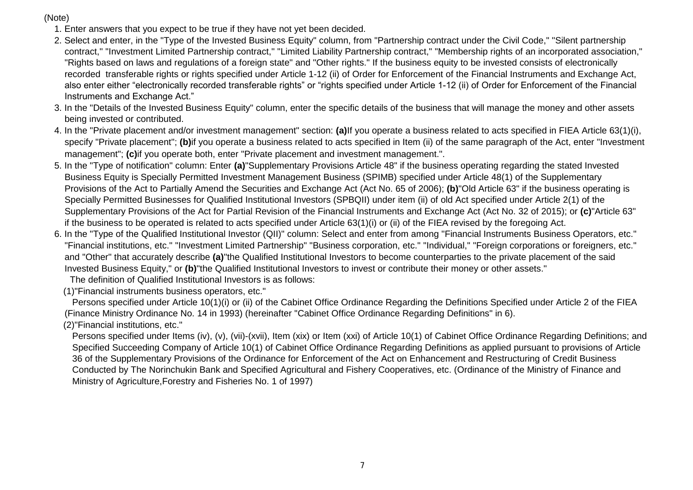- 1. Enter answers that you expect to be true if they have not yet been decided.
- 2. Select and enter, in the "Type of the Invested Business Equity" column, from "Partnership contract under the Civil Code," "Silent partnership contract," "Investment Limited Partnership contract," "Limited Liability Partnership contract," "Membership rights of an incorporated association," "Rights based on laws and regulations of a foreign state" and "Other rights." If the business equity to be invested consists of electronically recorded transferable rights or rights specified under Article 1-12 (ii) of Order for Enforcement of the Financial Instruments and Exchange Act, also enter either "electronically recorded transferable rights" or "rights specified under Article 1-12 (ii) of Order for Enforcement of the Financial Instruments and Exchange Act."
- 3. In the "Details of the Invested Business Equity" column, enter the specific details of the business that will manage the money and other assets being invested or contributed.
- 4. In the "Private placement and/or investment management" section: **(a)**If you operate a business related to acts specified in FIEA Article 63(1)(i), specify "Private placement"; **(b)**if you operate a business related to acts specified in Item (ii) of the same paragraph of the Act, enter "Investment management"; **(c)**if you operate both, enter "Private placement and investment management.".
- 5. In the "Type of notification" column: Enter **(a)**"Supplementary Provisions Article 48" if the business operating regarding the stated Invested Business Equity is Specially Permitted Investment Management Business (SPIMB) specified under Article 48(1) of the Supplementary Provisions of the Act to Partially Amend the Securities and Exchange Act (Act No. 65 of 2006); **(b)**"Old Article 63" if the business operating is Specially Permitted Businesses for Qualified Institutional Investors (SPBQII) under item (ii) of old Act specified under Article 2(1) of the Supplementary Provisions of the Act for Partial Revision of the Financial Instruments and Exchange Act (Act No. 32 of 2015); or **(c)**"Article 63" if the business to be operated is related to acts specified under Article 63(1)(i) or (ii) of the FIEA revised by the foregoing Act.
- 6. In the "Type of the Qualified Institutional Investor (QII)" column: Select and enter from among "Financial Instruments Business Operators, etc." "Financial institutions, etc." "Investment Limited Partnership" "Business corporation, etc." "Individual," "Foreign corporations or foreigners, etc." and "Other" that accurately describe **(a)**"the Qualified Institutional Investors to become counterparties to the private placement of the said Invested Business Equity," or **(b)**"the Qualified Institutional Investors to invest or contribute their money or other assets."

The definition of Qualified Institutional Investors is as follows:

(1)"Financial instruments business operators, etc."

 Persons specified under Article 10(1)(i) or (ii) of the Cabinet Office Ordinance Regarding the Definitions Specified under Article 2 of the FIEA (Finance Ministry Ordinance No. 14 in 1993) (hereinafter "Cabinet Office Ordinance Regarding Definitions" in 6).

(2)"Financial institutions, etc."

Persons specified under Items (iv), (v), (vii)-(xvii), Item (xix) or Item (xxi) of Article 10(1) of Cabinet Office Ordinance Regarding Definitions; and Specified Succeeding Company of Article 10(1) of Cabinet Office Ordinance Regarding Definitions as applied pursuant to provisions of Article 36 of the Supplementary Provisions of the Ordinance for Enforcement of the Act on Enhancement and Restructuring of Credit Business Conducted by The Norinchukin Bank and Specified Agricultural and Fishery Cooperatives, etc. (Ordinance of the Ministry of Finance and Ministry of Agriculture,Forestry and Fisheries No. 1 of 1997)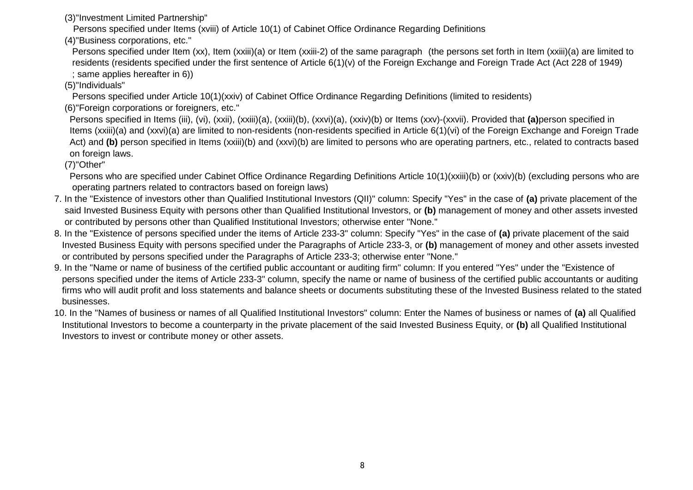(3)"Investment Limited Partnership"

Persons specified under Items (xviii) of Article 10(1) of Cabinet Office Ordinance Regarding Definitions

(4)"Business corporations, etc."

 Persons specified under Item (xx), Item (xxiii)(a) or Item (xxiii-2) of the same paragraph (the persons set forth in Item (xxiii)(a) are limited to residents (residents specified under the first sentence of Article 6(1)(v) of the Foreign Exchange and Foreign Trade Act (Act 228 of 1949) ; same applies hereafter in 6))

(5)"Individuals"

Persons specified under Article 10(1)(xxiv) of Cabinet Office Ordinance Regarding Definitions (limited to residents)

(6)"Foreign corporations or foreigners, etc."

 Persons specified in Items (iii), (vi), (xxii), (xxiii)(a), (xxiii)(b), (xxvi)(a), (xxiv)(b) or Items (xxv)-(xxvii). Provided that **(a)**person specified in Items (xxiii)(a) and (xxvi)(a) are limited to non-residents (non-residents specified in Article 6(1)(vi) of the Foreign Exchange and Foreign Trade Act) and (b) person specified in Items (xxiii)(b) and (xxvi)(b) are limited to persons who are operating partners, etc., related to contracts based on foreign laws.

(7)"Other"

 Persons who are specified under Cabinet Office Ordinance Regarding Definitions Article 10(1)(xxiii)(b) or (xxiv)(b) (excluding persons who are operating partners related to contractors based on foreign laws)

- 7. In the "Existence of investors other than Qualified Institutional Investors (QII)" column: Specify "Yes" in the case of **(a)** private placement of the said Invested Business Equity with persons other than Qualified Institutional Investors, or **(b)** management of money and other assets invested or contributed by persons other than Qualified Institutional Investors; otherwise enter "None."
- 8. In the "Existence of persons specified under the items of Article 233-3" column: Specify "Yes" in the case of **(a)** private placement of the said Invested Business Equity with persons specified under the Paragraphs of Article 233-3, or **(b)** management of money and other assets invested or contributed by persons specified under the Paragraphs of Article 233-3; otherwise enter "None."
- 9. In the "Name or name of business of the certified public accountant or auditing firm" column: If you entered "Yes" under the "Existence of persons specified under the items of Article 233-3" column, specify the name or name of business of the certified public accountants or auditing firms who will audit profit and loss statements and balance sheets or documents substituting these of the Invested Business related to the stated businesses.
- 10. In the "Names of business or names of all Qualified Institutional Investors" column: Enter the Names of business or names of **(a)** all Qualified Institutional Investors to become a counterparty in the private placement of the said Invested Business Equity, or **(b)** all Qualified Institutional Investors to invest or contribute money or other assets.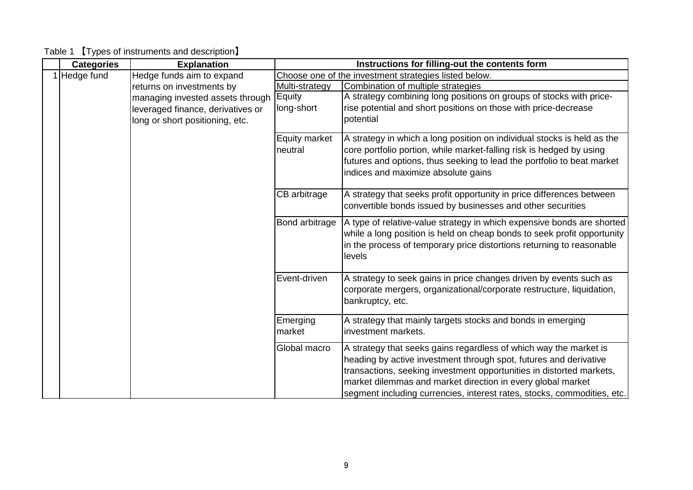| <b>Categories</b> | <b>Explanation</b>                | Instructions for filling-out the contents form |                                                                                                                                        |  |  |
|-------------------|-----------------------------------|------------------------------------------------|----------------------------------------------------------------------------------------------------------------------------------------|--|--|
| 1 Hedge fund      | Hedge funds aim to expand         |                                                | Choose one of the investment strategies listed below.                                                                                  |  |  |
|                   | returns on investments by         | Multi-strategy                                 | Combination of multiple strategies                                                                                                     |  |  |
|                   | managing invested assets through  | Equity                                         | A strategy combining long positions on groups of stocks with price-                                                                    |  |  |
|                   | leveraged finance, derivatives or | long-short                                     | rise potential and short positions on those with price-decrease                                                                        |  |  |
|                   | long or short positioning, etc.   |                                                | potential                                                                                                                              |  |  |
|                   |                                   | <b>Equity market</b>                           | A strategy in which a long position on individual stocks is held as the                                                                |  |  |
|                   |                                   | neutral                                        | core portfolio portion, while market-falling risk is hedged by using                                                                   |  |  |
|                   |                                   |                                                | futures and options, thus seeking to lead the portfolio to beat market                                                                 |  |  |
|                   |                                   |                                                | indices and maximize absolute gains                                                                                                    |  |  |
|                   |                                   |                                                |                                                                                                                                        |  |  |
|                   |                                   | CB arbitrage                                   | A strategy that seeks profit opportunity in price differences between                                                                  |  |  |
|                   |                                   |                                                | convertible bonds issued by businesses and other securities                                                                            |  |  |
|                   |                                   | Bond arbitrage                                 | A type of relative-value strategy in which expensive bonds are shorted                                                                 |  |  |
|                   |                                   |                                                | while a long position is held on cheap bonds to seek profit opportunity                                                                |  |  |
|                   |                                   |                                                | in the process of temporary price distortions returning to reasonable                                                                  |  |  |
|                   |                                   |                                                | levels                                                                                                                                 |  |  |
|                   |                                   |                                                |                                                                                                                                        |  |  |
|                   |                                   | Event-driven                                   | A strategy to seek gains in price changes driven by events such as                                                                     |  |  |
|                   |                                   |                                                | corporate mergers, organizational/corporate restructure, liquidation,                                                                  |  |  |
|                   |                                   |                                                | bankruptcy, etc.                                                                                                                       |  |  |
|                   |                                   | Emerging                                       | A strategy that mainly targets stocks and bonds in emerging                                                                            |  |  |
|                   |                                   | market                                         | investment markets.                                                                                                                    |  |  |
|                   |                                   | Global macro                                   |                                                                                                                                        |  |  |
|                   |                                   |                                                | A strategy that seeks gains regardless of which way the market is<br>heading by active investment through spot, futures and derivative |  |  |
|                   |                                   |                                                | transactions, seeking investment opportunities in distorted markets,                                                                   |  |  |
|                   |                                   |                                                | market dilemmas and market direction in every global market                                                                            |  |  |
|                   |                                   |                                                | segment including currencies, interest rates, stocks, commodities, etc.                                                                |  |  |

Table 1 【Types of instruments and description】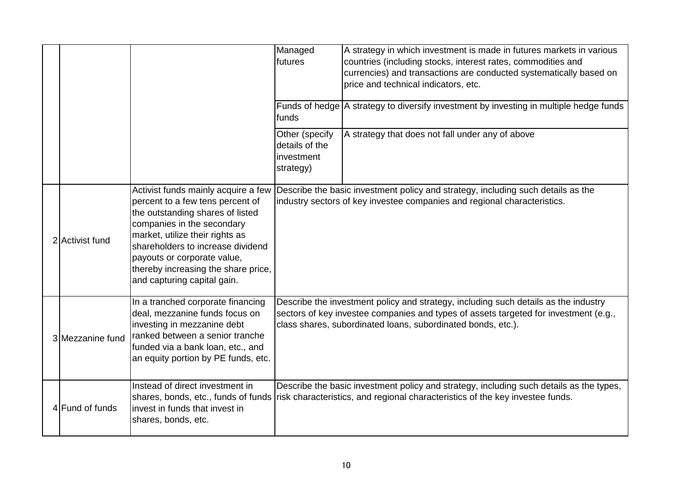|                  |                                                                                                                                                                                                                                                                                                                        | Managed<br>futures                                          | A strategy in which investment is made in futures markets in various<br>countries (including stocks, interest rates, commodities and<br>currencies) and transactions are conducted systematically based on<br>price and technical indicators, etc. |
|------------------|------------------------------------------------------------------------------------------------------------------------------------------------------------------------------------------------------------------------------------------------------------------------------------------------------------------------|-------------------------------------------------------------|----------------------------------------------------------------------------------------------------------------------------------------------------------------------------------------------------------------------------------------------------|
|                  |                                                                                                                                                                                                                                                                                                                        | funds                                                       | Funds of hedge   A strategy to diversify investment by investing in multiple hedge funds                                                                                                                                                           |
|                  |                                                                                                                                                                                                                                                                                                                        | Other (specify<br>details of the<br>investment<br>strategy) | A strategy that does not fall under any of above                                                                                                                                                                                                   |
| 2 Activist fund  | Activist funds mainly acquire a few<br>percent to a few tens percent of<br>the outstanding shares of listed<br>companies in the secondary<br>market, utilize their rights as<br>shareholders to increase dividend<br>payouts or corporate value,<br>thereby increasing the share price,<br>and capturing capital gain. |                                                             | Describe the basic investment policy and strategy, including such details as the<br>industry sectors of key investee companies and regional characteristics.                                                                                       |
| 3 Mezzanine fund | In a tranched corporate financing<br>deal, mezzanine funds focus on<br>investing in mezzanine debt<br>ranked between a senior tranche<br>funded via a bank loan, etc., and<br>an equity portion by PE funds, etc.                                                                                                      |                                                             | Describe the investment policy and strategy, including such details as the industry<br>sectors of key investee companies and types of assets targeted for investment (e.g.,<br>class shares, subordinated loans, subordinated bonds, etc.).        |
| 4 Fund of funds  | Instead of direct investment in<br>shares, bonds, etc., funds of funds<br>invest in funds that invest in<br>shares, bonds, etc.                                                                                                                                                                                        |                                                             | Describe the basic investment policy and strategy, including such details as the types,<br>risk characteristics, and regional characteristics of the key investee funds.                                                                           |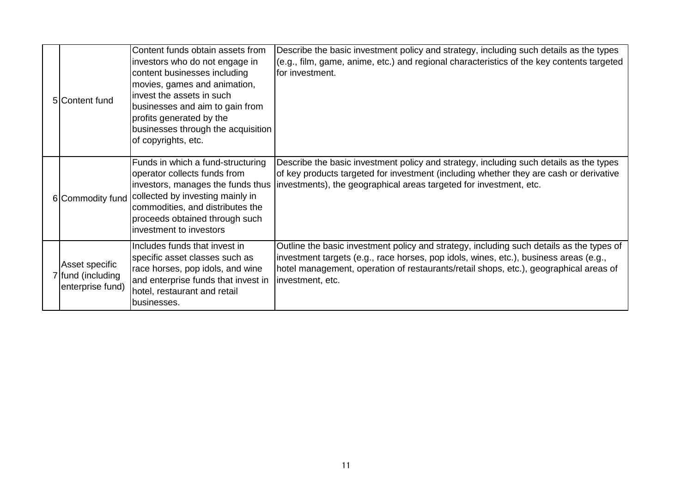| 5 Content fund                                          | Content funds obtain assets from<br>investors who do not engage in<br>content businesses including<br>movies, games and animation,<br>invest the assets in such<br>businesses and aim to gain from<br>profits generated by the<br>businesses through the acquisition<br>of copyrights, etc. | Describe the basic investment policy and strategy, including such details as the types<br>(e.g., film, game, anime, etc.) and regional characteristics of the key contents targeted<br>lfor investment.                                                                                        |
|---------------------------------------------------------|---------------------------------------------------------------------------------------------------------------------------------------------------------------------------------------------------------------------------------------------------------------------------------------------|------------------------------------------------------------------------------------------------------------------------------------------------------------------------------------------------------------------------------------------------------------------------------------------------|
| 6 Commodity fund                                        | Funds in which a fund-structuring<br>operator collects funds from<br>investors, manages the funds thus<br>collected by investing mainly in<br>commodities, and distributes the<br>proceeds obtained through such<br>investment to investors                                                 | Describe the basic investment policy and strategy, including such details as the types<br>of key products targeted for investment (including whether they are cash or derivative<br>investments), the geographical areas targeted for investment, etc.                                         |
| Asset specific<br>7 fund (including<br>enterprise fund) | Includes funds that invest in<br>specific asset classes such as<br>race horses, pop idols, and wine<br>and enterprise funds that invest in<br>hotel, restaurant and retail<br>businesses.                                                                                                   | Outline the basic investment policy and strategy, including such details as the types of<br>investment targets (e.g., race horses, pop idols, wines, etc.), business areas (e.g.,<br>hotel management, operation of restaurants/retail shops, etc.), geographical areas of<br>investment, etc. |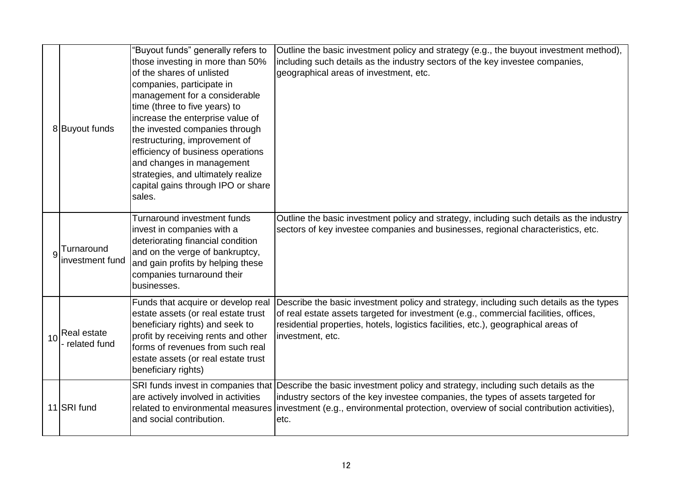|    | 8 Buyout funds                     | 'Buyout funds" generally refers to<br>those investing in more than 50%<br>of the shares of unlisted<br>companies, participate in<br>management for a considerable<br>time (three to five years) to<br>increase the enterprise value of<br>the invested companies through<br>restructuring, improvement of<br>efficiency of business operations<br>and changes in management<br>strategies, and ultimately realize<br>capital gains through IPO or share<br>sales. | Outline the basic investment policy and strategy (e.g., the buyout investment method),<br>including such details as the industry sectors of the key investee companies,<br>geographical areas of investment, etc.                                                                                                                             |
|----|------------------------------------|-------------------------------------------------------------------------------------------------------------------------------------------------------------------------------------------------------------------------------------------------------------------------------------------------------------------------------------------------------------------------------------------------------------------------------------------------------------------|-----------------------------------------------------------------------------------------------------------------------------------------------------------------------------------------------------------------------------------------------------------------------------------------------------------------------------------------------|
|    | Turnaround<br>investment fund      | <b>Turnaround investment funds</b><br>invest in companies with a<br>deteriorating financial condition<br>and on the verge of bankruptcy,<br>and gain profits by helping these<br>companies turnaround their<br>businesses.                                                                                                                                                                                                                                        | Outline the basic investment policy and strategy, including such details as the industry<br>sectors of key investee companies and businesses, regional characteristics, etc.                                                                                                                                                                  |
| 10 | <b>Real estate</b><br>related fund | Funds that acquire or develop real<br>estate assets (or real estate trust<br>beneficiary rights) and seek to<br>profit by receiving rents and other<br>forms of revenues from such real<br>estate assets (or real estate trust<br>beneficiary rights)                                                                                                                                                                                                             | Describe the basic investment policy and strategy, including such details as the types<br>of real estate assets targeted for investment (e.g., commercial facilities, offices,<br>residential properties, hotels, logistics facilities, etc.), geographical areas of<br>investment, etc.                                                      |
|    | 11 SRI fund                        | are actively involved in activities<br>and social contribution.                                                                                                                                                                                                                                                                                                                                                                                                   | SRI funds invest in companies that Describe the basic investment policy and strategy, including such details as the<br>industry sectors of the key investee companies, the types of assets targeted for<br>related to environmental measures investment (e.g., environmental protection, overview of social contribution activities),<br>etc. |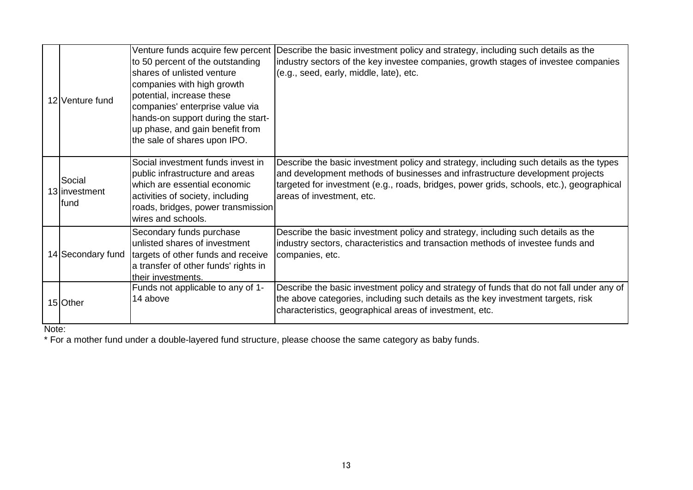|                   | Venture funds acquire few percent                                      | Describe the basic investment policy and strategy, including such details as the         |
|-------------------|------------------------------------------------------------------------|------------------------------------------------------------------------------------------|
|                   | to 50 percent of the outstanding                                       | industry sectors of the key investee companies, growth stages of investee companies      |
|                   | shares of unlisted venture                                             | (e.g., seed, early, middle, late), etc.                                                  |
|                   | companies with high growth                                             |                                                                                          |
| 12 Venture fund   | potential, increase these                                              |                                                                                          |
|                   | companies' enterprise value via                                        |                                                                                          |
|                   | hands-on support during the start-<br>up phase, and gain benefit from  |                                                                                          |
|                   | the sale of shares upon IPO.                                           |                                                                                          |
|                   |                                                                        |                                                                                          |
|                   | Social investment funds invest in                                      | Describe the basic investment policy and strategy, including such details as the types   |
| Social            | public infrastructure and areas                                        | and development methods of businesses and infrastructure development projects            |
| 13 investment     | which are essential economic                                           | targeted for investment (e.g., roads, bridges, power grids, schools, etc.), geographical |
| fund              | activities of society, including<br>roads, bridges, power transmission | areas of investment, etc.                                                                |
|                   | wires and schools.                                                     |                                                                                          |
|                   | Secondary funds purchase                                               | Describe the basic investment policy and strategy, including such details as the         |
|                   | unlisted shares of investment                                          | industry sectors, characteristics and transaction methods of investee funds and          |
| 14 Secondary fund | targets of other funds and receive                                     | companies, etc.                                                                          |
|                   | a transfer of other funds' rights in                                   |                                                                                          |
|                   | their investments.                                                     |                                                                                          |
|                   | Funds not applicable to any of 1-                                      | Describe the basic investment policy and strategy of funds that do not fall under any of |
| 15 Other          | 14 above                                                               | the above categories, including such details as the key investment targets, risk         |
|                   |                                                                        | characteristics, geographical areas of investment, etc.                                  |

Note:

\* For a mother fund under a double-layered fund structure, please choose the same category as baby funds.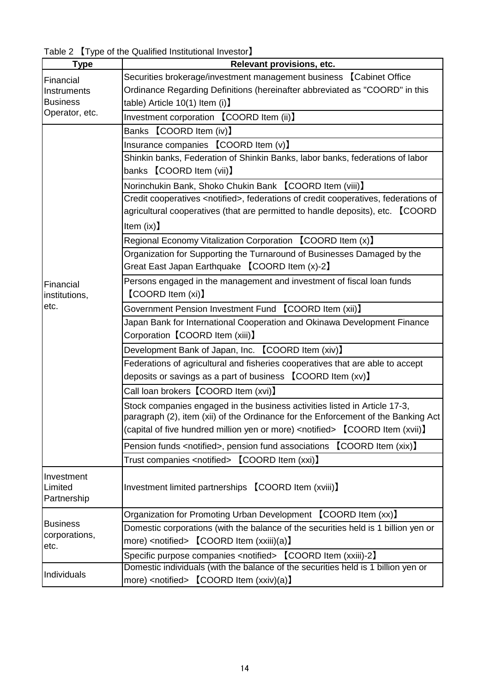|  | Table 2 [Type of the Qualified Institutional Investor] |
|--|--------------------------------------------------------|
|--|--------------------------------------------------------|

| <b>Type</b>           | Relevant provisions, etc.                                                                     |
|-----------------------|-----------------------------------------------------------------------------------------------|
| Financial             | Securities brokerage/investment management business [Cabinet Office]                          |
| Instruments           | Ordinance Regarding Definitions (hereinafter abbreviated as "COORD" in this                   |
| <b>Business</b>       | table) Article $10(1)$ Item (i)                                                               |
| Operator, etc.        | Investment corporation [COORD Item (ii)]                                                      |
|                       | Banks 【COORD Item (iv)】                                                                       |
|                       | Insurance companies [COORD Item (v)]                                                          |
|                       | Shinkin banks, Federation of Shinkin Banks, labor banks, federations of labor                 |
|                       | banks <b>[COORD</b> Item (vii)]                                                               |
|                       | Norinchukin Bank, Shoko Chukin Bank 【COORD Item (viii)】                                       |
|                       | Credit cooperatives <notified>, federations of credit cooperatives, federations of</notified> |
|                       | agricultural cooperatives (that are permitted to handle deposits), etc. [COORD                |
|                       | Item $(ix)$ ]                                                                                 |
|                       | Regional Economy Vitalization Corporation [COORD Item (x)]                                    |
|                       | Organization for Supporting the Turnaround of Businesses Damaged by the                       |
|                       | Great East Japan Earthquake 【COORD Item (x)-2】                                                |
| Financial             | Persons engaged in the management and investment of fiscal loan funds                         |
| institutions,         | <b>[COORD Item (xi)]</b>                                                                      |
| etc.                  | Government Pension Investment Fund 【COORD Item (xii)】                                         |
|                       | Japan Bank for International Cooperation and Okinawa Development Finance                      |
|                       | Corporation 【COORD Item (xiii)】                                                               |
|                       | Development Bank of Japan, Inc. 【COORD Item (xiv)】                                            |
|                       | Federations of agricultural and fisheries cooperatives that are able to accept                |
|                       | deposits or savings as a part of business [COORD Item (xv)]                                   |
|                       | Call loan brokers [COORD Item (xvi)]                                                          |
|                       | Stock companies engaged in the business activities listed in Article 17-3,                    |
|                       | paragraph (2), item (xii) of the Ordinance for the Enforcement of the Banking Act             |
|                       | (capital of five hundred million yen or more) <notified> [COORD Item (xvii)]</notified>       |
|                       | Pension funds <notified>, pension fund associations [COORD Item (xix)]</notified>             |
|                       | Trust companies <notified> [COORD Item (xxi)]</notified>                                      |
| Investment            |                                                                                               |
| Limited               | Investment limited partnerships [COORD Item (xviii)]                                          |
| Partnership           |                                                                                               |
|                       | Organization for Promoting Urban Development [COORD Item (xx)]                                |
| <b>Business</b>       | Domestic corporations (with the balance of the securities held is 1 billion yen or            |
| corporations,<br>etc. | more) <notified> [COORD Item (xxiii)(a)]</notified>                                           |
|                       | Specific purpose companies <notified> [COORD Item (xxiii)-2]</notified>                       |
|                       | Domestic individuals (with the balance of the securities held is 1 billion yen or             |
| Individuals           | more) <notified> 【COORD Item (xxiv)(a)】</notified>                                            |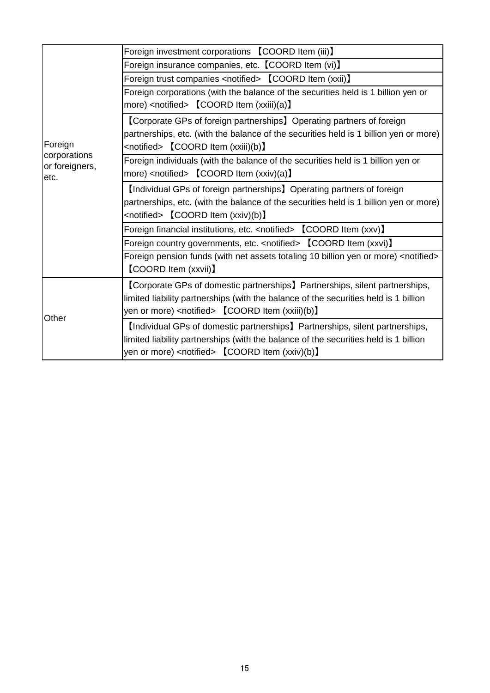|                         | Foreign investment corporations [COORD Item (iii)]                                            |
|-------------------------|-----------------------------------------------------------------------------------------------|
|                         | Foreign insurance companies, etc. [COORD Item (vi)]                                           |
|                         | Foreign trust companies <notified> [COORD Item (xxii)]</notified>                             |
|                         | Foreign corporations (with the balance of the securities held is 1 billion yen or             |
|                         | more) <notified> [COORD Item (xxiii)(a)]</notified>                                           |
|                         | [Corporate GPs of foreign partnerships] Operating partners of foreign                         |
|                         | partnerships, etc. (with the balance of the securities held is 1 billion yen or more)         |
| Foreign<br>corporations | <notified> 【COORD Item (xxiii)(b)】</notified>                                                 |
| or foreigners,          | Foreign individuals (with the balance of the securities held is 1 billion yen or              |
| etc.                    | more) <notified> [COORD Item (xxiv)(a)]</notified>                                            |
|                         | [Individual GPs of foreign partnerships] Operating partners of foreign                        |
|                         | partnerships, etc. (with the balance of the securities held is 1 billion yen or more)         |
|                         | <notified> [COORD Item (xxiv)(b)]</notified>                                                  |
|                         | Foreign financial institutions, etc. <notified> [COORD Item (xxv)]</notified>                 |
|                         | Foreign country governments, etc. <notified> [COORD Item (xxvi)]</notified>                   |
|                         | Foreign pension funds (with net assets totaling 10 billion yen or more) <notified></notified> |
|                         | <b>[COORD Item (xxvii)]</b>                                                                   |
|                         | [Corporate GPs of domestic partnerships] Partnerships, silent partnerships,                   |
|                         | limited liability partnerships (with the balance of the securities held is 1 billion          |
| Other                   | yen or more) <notified> [COORD Item (xxiii)(b)]</notified>                                    |
|                         | [Individual GPs of domestic partnerships] Partnerships, silent partnerships,                  |
|                         | limited liability partnerships (with the balance of the securities held is 1 billion          |
|                         | yen or more) <notified> [COORD Item (xxiv)(b)]</notified>                                     |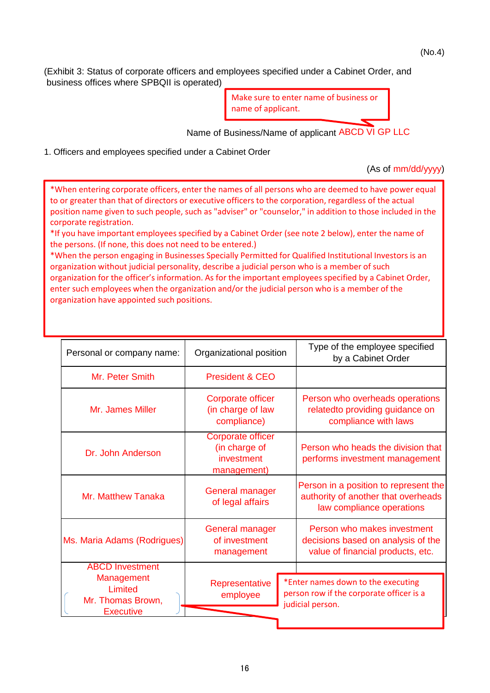(No.4)

(Exhibit 3: Status of corporate officers and employees specified under a Cabinet Order, and business offices where SPBQII is operated)

> Make sure to enter name of business or name of applicant.

Name of Business/Name of applicant ABCD VI GP LLC

1. Officers and employees specified under a Cabinet Order

(As of mm/dd/yyyy)

\*When entering corporate officers, enter the names of all persons who are deemed to have power equal to or greater than that of directors or executive officers to the corporation, regardless of the actual position name given to such people, such as "adviser" or "counselor," in addition to those included in the corporate registration.

\*If you have important employees specified by a Cabinet Order (see note 2 below), enter the name of the persons. (If none, this does not need to be entered.)

\*When the person engaging in Businesses Specially Permitted for Qualified Institutional Investors is an organization without judicial personality, describe a judicial person who is a member of such organization for the officer's information. As for the important employees specified by a Cabinet Order, enter such employees when the organization and/or the judicial person who is a member of the organization have appointed such positions.

| Organizational position                                                       | Type of the employee specified<br>by a Cabinet Order                                                      |
|-------------------------------------------------------------------------------|-----------------------------------------------------------------------------------------------------------|
| President & CEO                                                               |                                                                                                           |
| Corporate officer<br>(in charge of law<br>compliance)                         | Person who overheads operations<br>relatedto providing guidance on<br>compliance with laws                |
| Corporate officer<br>(in charge of<br>investment<br>management)               | Person who heads the division that<br>performs investment management                                      |
| <b>General manager</b><br>of legal affairs                                    | Person in a position to represent the<br>authority of another that overheads<br>law compliance operations |
| General manager<br>of investment<br>Ms. Maria Adams (Rodrigues)<br>management | Person who makes investment<br>decisions based on analysis of the<br>value of financial products, etc.    |
|                                                                               |                                                                                                           |
| Representative<br>employee                                                    | *Enter names down to the executing<br>person row if the corporate officer is a<br>judicial person.        |
|                                                                               |                                                                                                           |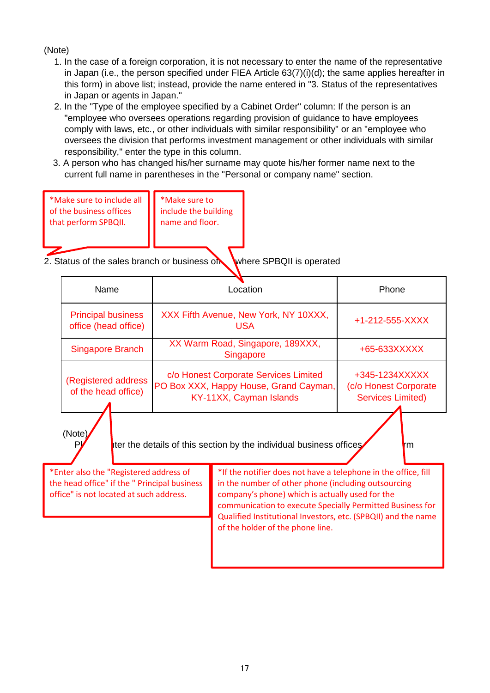- 1. In the case of a foreign corporation, it is not necessary to enter the name of the representative in Japan (i.e., the person specified under FIEA Article 63(7)(i)(d); the same applies hereafter in this form) in above list; instead, provide the name entered in "3. Status of the representatives in Japan or agents in Japan."
- 2. In the "Type of the employee specified by a Cabinet Order" column: If the person is an "employee who oversees operations regarding provision of guidance to have employees comply with laws, etc., or other individuals with similar responsibility" or an "employee who oversees the division that performs investment management or other individuals with similar responsibility," enter the type in this column.
- 3. A person who has changed his/her surname may quote his/her former name next to the current full name in parentheses in the "Personal or company name" section.

| *Make sure to include all | *Make sure to        |  |  |
|---------------------------|----------------------|--|--|
| of the business offices   | include the building |  |  |
| that perform SPBQII.      | name and floor.      |  |  |
|                           |                      |  |  |

2. Status of the sales branch or business of where SPBQII is operated

| Name                                                                                                                              | Location                                                         |                                                                                                                                                                                                                                                                                                                                            | Phone                                                                                                                                                                                     |  |
|-----------------------------------------------------------------------------------------------------------------------------------|------------------------------------------------------------------|--------------------------------------------------------------------------------------------------------------------------------------------------------------------------------------------------------------------------------------------------------------------------------------------------------------------------------------------|-------------------------------------------------------------------------------------------------------------------------------------------------------------------------------------------|--|
| <b>Principal business</b><br>office (head office)<br><b>Singapore Branch</b>                                                      |                                                                  | <b>USA</b>                                                                                                                                                                                                                                                                                                                                 | +1-212-555-XXXX                                                                                                                                                                           |  |
|                                                                                                                                   |                                                                  | Singapore                                                                                                                                                                                                                                                                                                                                  | +65-633XXXXX                                                                                                                                                                              |  |
| of the head office)                                                                                                               | c/o Honest Corporate Services Limited<br>KY-11XX, Cayman Islands |                                                                                                                                                                                                                                                                                                                                            | +345-1234XXXXX<br>(c/o Honest Corporate<br><b>Services Limited)</b>                                                                                                                       |  |
| (Note)                                                                                                                            |                                                                  |                                                                                                                                                                                                                                                                                                                                            | rm                                                                                                                                                                                        |  |
| *Enter also the "Registered address of<br>the head office" if the " Principal business<br>office" is not located at such address. |                                                                  | *If the notifier does not have a telephone in the office, fill<br>in the number of other phone (including outsourcing<br>company's phone) which is actually used for the<br>communication to execute Specially Permitted Business for<br>Qualified Institutional Investors, etc. (SPBQII) and the name<br>of the holder of the phone line. |                                                                                                                                                                                           |  |
|                                                                                                                                   | (Registered address                                              |                                                                                                                                                                                                                                                                                                                                            | XXX Fifth Avenue, New York, NY 10XXX,<br>XX Warm Road, Singapore, 189XXX,<br>PO Box XXX, Happy House, Grand Cayman,<br>ter the details of this section by the individual business offices |  |